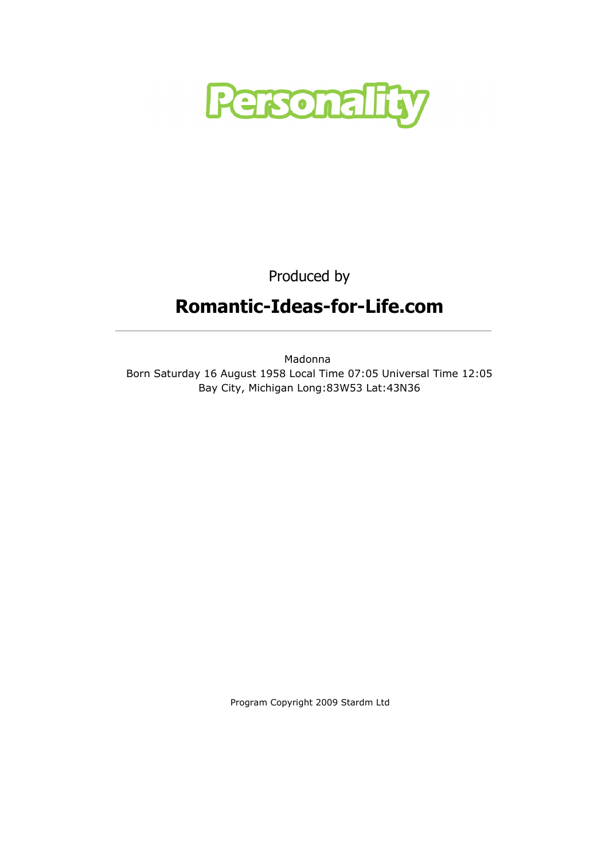

Produced by

# Romantic-Ideas-for-Life.com

Madonna Born Saturday 16 August 1958 Local Time 07:05 Universal Time 12:05 Bay City, Michigan Long:83W53 Lat:43N36

Program Copyright 2009 Stardm Ltd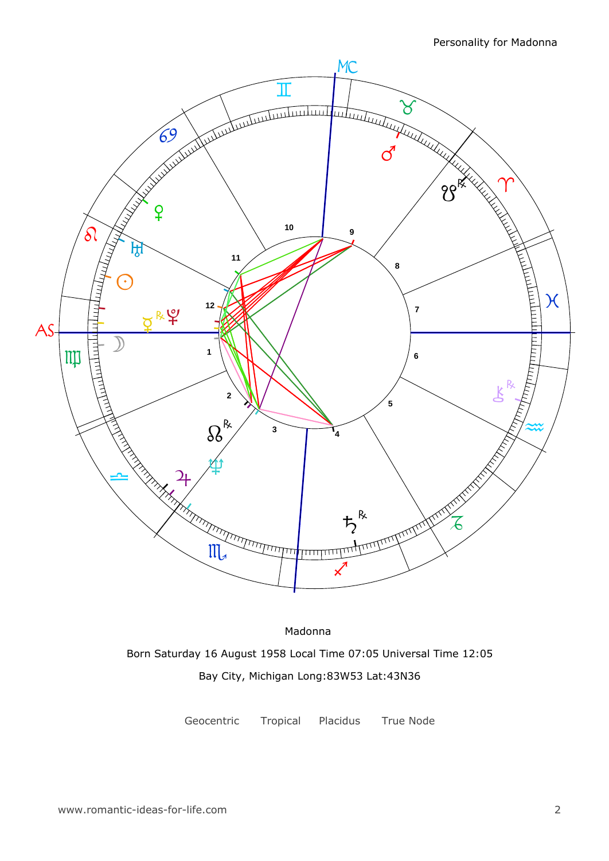

Madonna Born Saturday 16 August 1958 Local Time 07:05 Universal Time 12:05 Bay City, Michigan Long:83W53 Lat:43N36

Geocentric Tropical Placidus True Node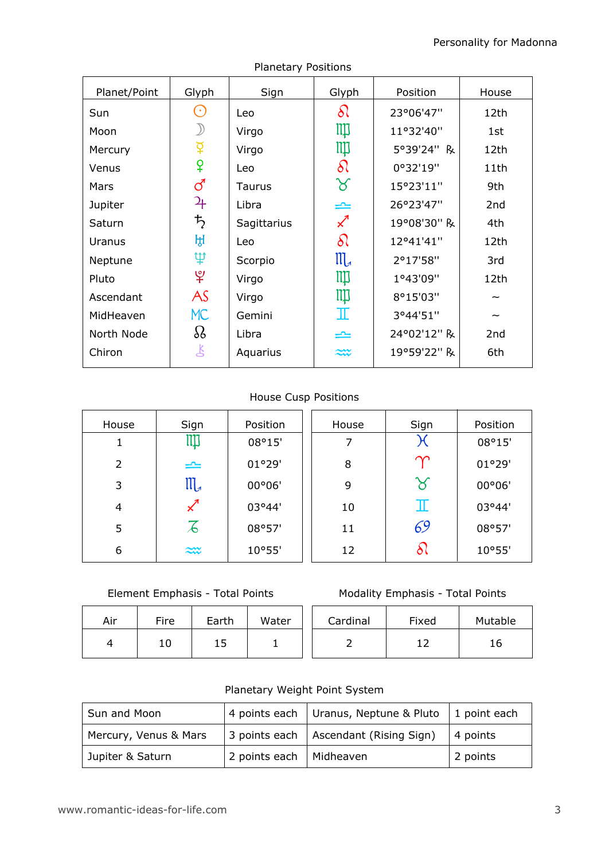| Planet/Point | Glyph                       | Sign        | Glyph                      | Position    | House           |
|--------------|-----------------------------|-------------|----------------------------|-------------|-----------------|
| Sun          | $(\,\cdot\,)$               | Leo         | $\delta\Omega$             | 23°06'47"   | 12th            |
| Moon         |                             | Virgo       | Щ                          | 11°32'40"   | 1st             |
| Mercury      | $\breve{\mathrm{Q}}$        | Virgo       | Щ                          | 5°39'24" R  | 12th            |
| Venus        | ¥                           | Leo         | $\delta\!$                 | 0°32'19"    | 11th            |
| Mars         | ්                           | Taurus      | ୪                          | 15°23'11"   | 9th             |
| Jupiter      | $\mathfrak{P}_{\mathsf{F}}$ | Libra       | ⋍                          | 26°23'47"   | 2 <sub>nd</sub> |
| Saturn       | $\frac{1}{2}$               | Sagittarius | $\boldsymbol{\mathcal{Z}}$ | 19°08'30" R | 4th             |
| Uranus       | ਸ਼੍ਰ                        | Leo         | $\delta l$                 | 12°41'41"   | 12th            |
| Neptune      | ψ                           | Scorpio     | $\mathfrak{m}$             | 2°17'58"    | 3rd             |
| Pluto        | $\mathfrak{P}$              | Virgo       | Щ                          | 1°43'09"    | 12th            |
| Ascendant    | AS                          | Virgo       | ЩI                         | 8°15'03"    |                 |
| MidHeaven    | <b>MC</b>                   | Gemini      | I                          | 3°44'51"    |                 |
| North Node   | $\Omega$                    | Libra       | ≃                          | 24°02'12" R | 2nd             |
| Chiron       | 飞                           | Aquarius    | $\approx\!\!\infty$        | 19°59'22" R | 6th             |

Planetary Positions

### House Cusp Positions

| House          | Sign                 | Position | House | Sign          | Position |
|----------------|----------------------|----------|-------|---------------|----------|
|                | Щ                    | 08°15'   |       | Ж             | 08°15'   |
| $\overline{2}$ | $\rightleftharpoons$ | 01°29'   | 8     | $\bm{\gamma}$ | 01°29'   |
| 3              | ${\mathfrak m}$      | 00°06'   | 9     | ୪             | 00°06'   |
| 4              |                      | 03°44'   | 10    | Ш             | 03°44'   |
| 5              | 石                    | 08°57'   | 11    | 69            | 08°57'   |
| 6              | $\widetilde{\sim}$   | 10°55'   | 12    | ð١            | 10°55'   |

Element Emphasis - Total Points

| Air | Fire | Earth | Water | Cardinal | Fixed | Mutal |
|-----|------|-------|-------|----------|-------|-------|
| ↵   | 10   | 15    |       |          |       | 16    |

| Cardinal | Fixed | Mutable |
|----------|-------|---------|
|          | , נ   | 16.     |

### Planetary Weight Point System

| Sun and Moon          |                           | 4 points each   Uranus, Neptune & Pluto   1 point each |             |  |
|-----------------------|---------------------------|--------------------------------------------------------|-------------|--|
| Mercury, Venus & Mars |                           | 3 points each   Ascendant (Rising Sign)                | $ 4$ points |  |
| Jupiter & Saturn      | 2 points each   Midheaven |                                                        | 2 points    |  |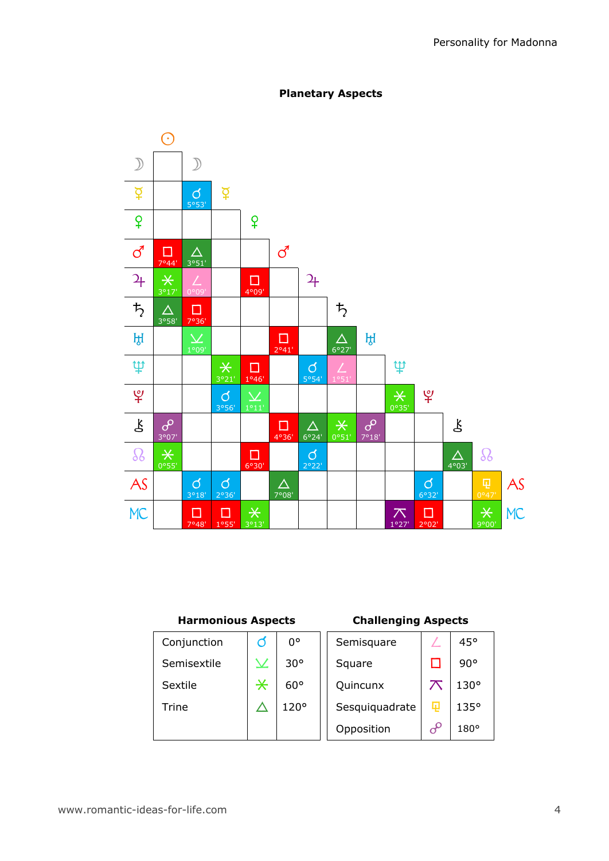

### Planetary Aspects

### Harmonious Aspects

### Challenging Aspects

| Conjunction | ∩           | $0^{\circ}$  | Semisquare     |          | 45°          |
|-------------|-------------|--------------|----------------|----------|--------------|
| Semisextile | $\bm{\vee}$ | $30^{\circ}$ | Square         |          | $90^{\circ}$ |
| Sextile     | $\ast$      | $60^{\circ}$ | Quincunx       |          | $130^\circ$  |
| Trine       |             | 120°         | Sesquiquadrate | 曱        | 135°         |
|             |             |              | Opposition     | $\delta$ | $180^\circ$  |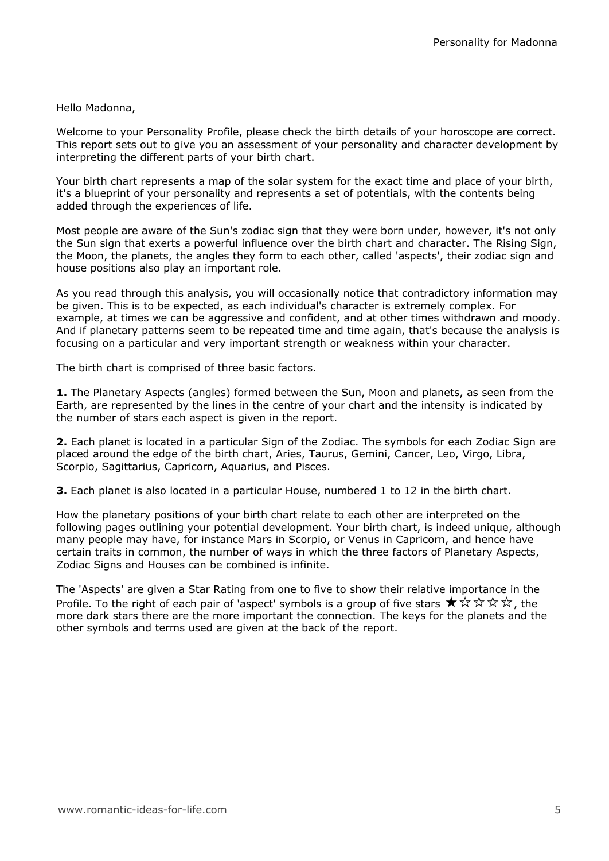#### Hello Madonna,

Welcome to your Personality Profile, please check the birth details of your horoscope are correct. This report sets out to give you an assessment of your personality and character development by interpreting the different parts of your birth chart.

Your birth chart represents a map of the solar system for the exact time and place of your birth, it's a blueprint of your personality and represents a set of potentials, with the contents being added through the experiences of life.

Most people are aware of the Sun's zodiac sign that they were born under, however, it's not only the Sun sign that exerts a powerful influence over the birth chart and character. The Rising Sign, the Moon, the planets, the angles they form to each other, called 'aspects', their zodiac sign and house positions also play an important role.

As you read through this analysis, you will occasionally notice that contradictory information may be given. This is to be expected, as each individual's character is extremely complex. For example, at times we can be aggressive and confident, and at other times withdrawn and moody. And if planetary patterns seem to be repeated time and time again, that's because the analysis is focusing on a particular and very important strength or weakness within your character.

The birth chart is comprised of three basic factors.

**1.** The Planetary Aspects (angles) formed between the Sun, Moon and planets, as seen from the Earth, are represented by the lines in the centre of your chart and the intensity is indicated by the number of stars each aspect is given in the report.

2. Each planet is located in a particular Sign of the Zodiac. The symbols for each Zodiac Sign are placed around the edge of the birth chart, Aries, Taurus, Gemini, Cancer, Leo, Virgo, Libra, Scorpio, Sagittarius, Capricorn, Aquarius, and Pisces.

**3.** Each planet is also located in a particular House, numbered 1 to 12 in the birth chart.

How the planetary positions of your birth chart relate to each other are interpreted on the following pages outlining your potential development. Your birth chart, is indeed unique, although many people may have, for instance Mars in Scorpio, or Venus in Capricorn, and hence have certain traits in common, the number of ways in which the three factors of Planetary Aspects, Zodiac Signs and Houses can be combined is infinite.

The 'Aspects' are given a Star Rating from one to five to show their relative importance in the Profile. To the right of each pair of 'aspect' symbols is a group of five stars  $\star \times \star \star \star$ , the more dark stars there are the more important the connection. The keys for the planets and the other symbols and terms used are given at the back of the report.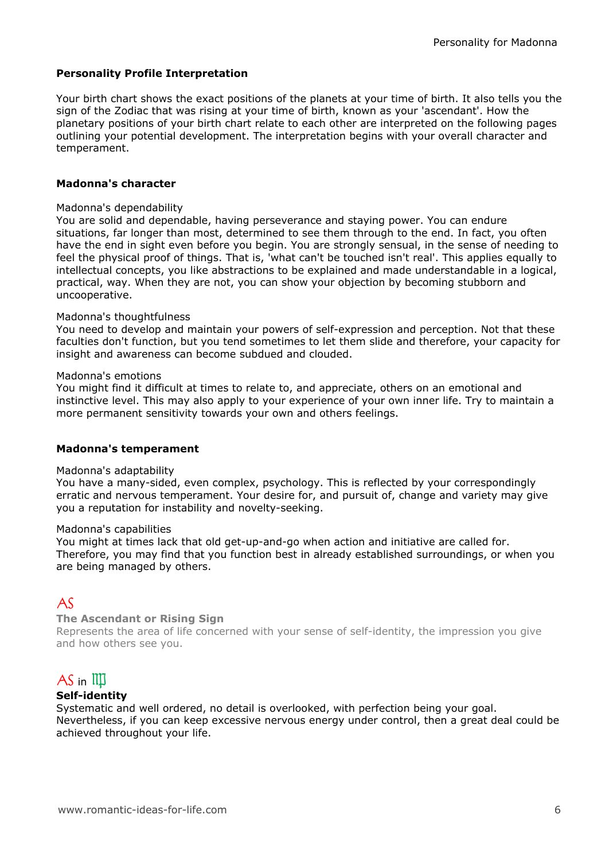### Personality Profile Interpretation

Your birth chart shows the exact positions of the planets at your time of birth. It also tells you the sign of the Zodiac that was rising at your time of birth, known as your 'ascendant'. How the planetary positions of your birth chart relate to each other are interpreted on the following pages outlining your potential development. The interpretation begins with your overall character and temperament.

### Madonna's character

#### Madonna's dependability

You are solid and dependable, having perseverance and staying power. You can endure situations, far longer than most, determined to see them through to the end. In fact, you often have the end in sight even before you begin. You are strongly sensual, in the sense of needing to feel the physical proof of things. That is, 'what can't be touched isn't real'. This applies equally to intellectual concepts, you like abstractions to be explained and made understandable in a logical. practical, way. When they are not, you can show your objection by becoming stubborn and uncooperative.

### Madonna's thoughtfulness

You need to develop and maintain your powers of self-expression and perception. Not that these faculties don't function, but you tend sometimes to let them slide and therefore, your capacity for insight and awareness can become subdued and clouded.

#### Madonna's emotions

You might find it difficult at times to relate to, and appreciate, others on an emotional and instinctive level. This may also apply to your experience of your own inner life. Try to maintain a more permanent sensitivity towards your own and others feelings.

#### Madonna's temperament

#### Madonna's adaptability

You have a many-sided, even complex, psychology. This is reflected by your correspondingly erratic and nervous temperament. Your desire for, and pursuit of, change and variety may give you a reputation for instability and novelty-seeking.

#### Madonna's capabilities

You might at times lack that old get-up-and-go when action and initiative are called for. Therefore, you may find that you function best in already established surroundings, or when you are being managed by others.

# $A\zeta$

#### The Ascendant or Rising Sign

Represents the area of life concerned with your sense of self-identity, the impression you give and how others see you.

# $AS$  in  $III$

#### Self-identity

Systematic and well ordered, no detail is overlooked, with perfection being your goal. Nevertheless, if you can keep excessive nervous energy under control, then a great deal could be achieved throughout your life.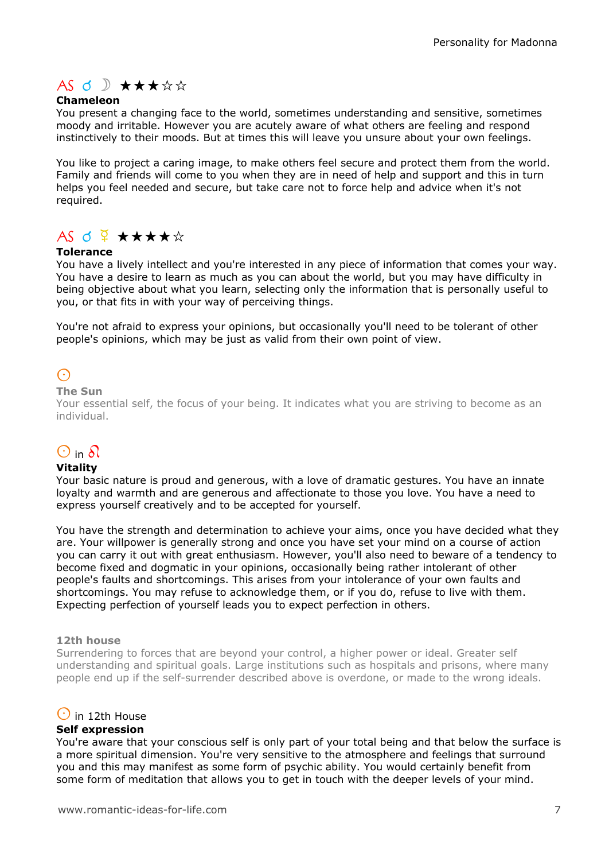# $AS \nI$   $\mathcal{A}$   $\star$   $\star$   $\star$   $\star$   $\star$

### Chameleon

You present a changing face to the world, sometimes understanding and sensitive, sometimes moody and irritable. However you are acutely aware of what others are feeling and respond instinctively to their moods. But at times this will leave you unsure about your own feelings.

You like to project a caring image, to make others feel secure and protect them from the world. Family and friends will come to you when they are in need of help and support and this in turn helps you feel needed and secure, but take care not to force help and advice when it's not required.

# $AS$  d  $\frac{Q}{4}$   $\star\star\star\star\star$

### Tolerance

You have a lively intellect and you're interested in any piece of information that comes your way. You have a desire to learn as much as you can about the world, but you may have difficulty in being objective about what you learn, selecting only the information that is personally useful to you, or that fits in with your way of perceiving things.

You're not afraid to express your opinions, but occasionally you'll need to be tolerant of other people's opinions, which may be just as valid from their own point of view.

# $\odot$

#### The Sun

Your essential self, the focus of your being. It indicates what you are striving to become as an individual.

# $\odot$  in  $\delta$

#### Vitality

Your basic nature is proud and generous, with a love of dramatic gestures. You have an innate loyalty and warmth and are generous and affectionate to those you love. You have a need to express yourself creatively and to be accepted for yourself.

You have the strength and determination to achieve your aims, once you have decided what they are. Your willpower is generally strong and once you have set your mind on a course of action you can carry it out with great enthusiasm. However, you'll also need to beware of a tendency to become fixed and dogmatic in your opinions, occasionally being rather intolerant of other people's faults and shortcomings. This arises from your intolerance of your own faults and shortcomings. You may refuse to acknowledge them, or if you do, refuse to live with them. Expecting perfection of yourself leads you to expect perfection in others.

#### 12th house

Surrendering to forces that are beyond your control, a higher power or ideal. Greater self understanding and spiritual goals. Large institutions such as hospitals and prisons, where many people end up if the self-surrender described above is overdone, or made to the wrong ideals.

### $\odot$  in 12th House

#### Self expression

You're aware that your conscious self is only part of your total being and that below the surface is a more spiritual dimension. You're very sensitive to the atmosphere and feelings that surround you and this may manifest as some form of psychic ability. You would certainly benefit from some form of meditation that allows you to get in touch with the deeper levels of your mind.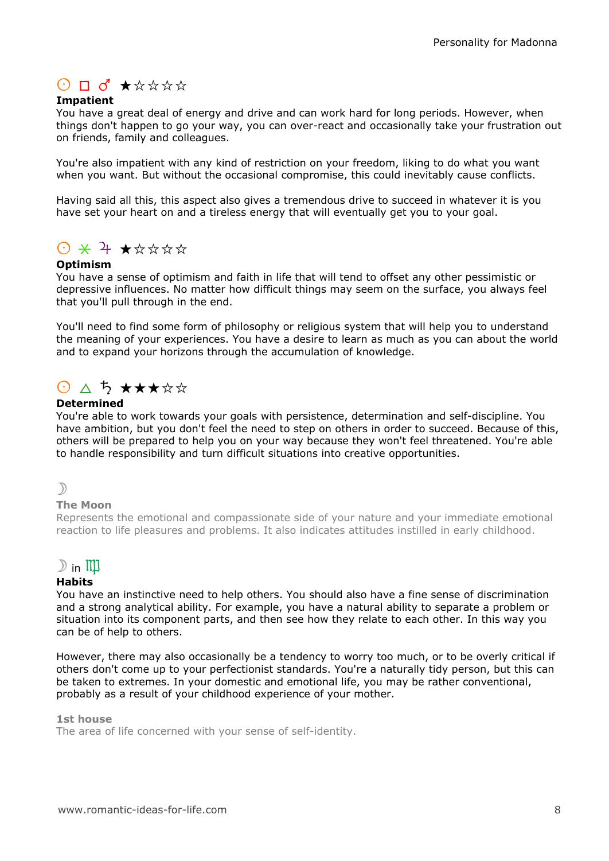# $O$   $\Box$   $\sigma$   $\star$   $\star$   $\star$   $\star$   $\star$

### Impatient

You have a great deal of energy and drive and can work hard for long periods. However, when things don't happen to go your way, you can over-react and occasionally take your frustration out on friends, family and colleagues.

You're also impatient with any kind of restriction on your freedom, liking to do what you want when you want. But without the occasional compromise, this could inevitably cause conflicts.

Having said all this, this aspect also gives a tremendous drive to succeed in whatever it is you have set your heart on and a tireless energy that will eventually get you to your goal.

# $0$   $\times$   $4$   $\times$   $\star$   $\star$   $\star$   $\star$

### Optimism

You have a sense of optimism and faith in life that will tend to offset any other pessimistic or depressive influences. No matter how difficult things may seem on the surface, you always feel that you'll pull through in the end.

You'll need to find some form of philosophy or religious system that will help you to understand the meaning of your experiences. You have a desire to learn as much as you can about the world and to expand your horizons through the accumulation of knowledge.

# $\bigcirc$   $\bigcirc$   $\bigcirc$   $\bigstar$   $\star$   $\star$   $\star$   $\star$   $\star$

### **Determined**

You're able to work towards your goals with persistence, determination and self-discipline. You have ambition, but you don't feel the need to step on others in order to succeed. Because of this, others will be prepared to help you on your way because they won't feel threatened. You're able to handle responsibility and turn difficult situations into creative opportunities.

### $\mathcal{D}$

#### The Moon

Represents the emotional and compassionate side of your nature and your immediate emotional reaction to life pleasures and problems. It also indicates attitudes instilled in early childhood.

## $\mathbb{D}$  in  $\mathbb{I} \mathbb{I}$

#### **Habits**

You have an instinctive need to help others. You should also have a fine sense of discrimination and a strong analytical ability. For example, you have a natural ability to separate a problem or situation into its component parts, and then see how they relate to each other. In this way you can be of help to others.

However, there may also occasionally be a tendency to worry too much, or to be overly critical if others don't come up to your perfectionist standards. You're a naturally tidy person, but this can be taken to extremes. In your domestic and emotional life, you may be rather conventional, probably as a result of your childhood experience of your mother.

#### 1st house

The area of life concerned with your sense of self-identity.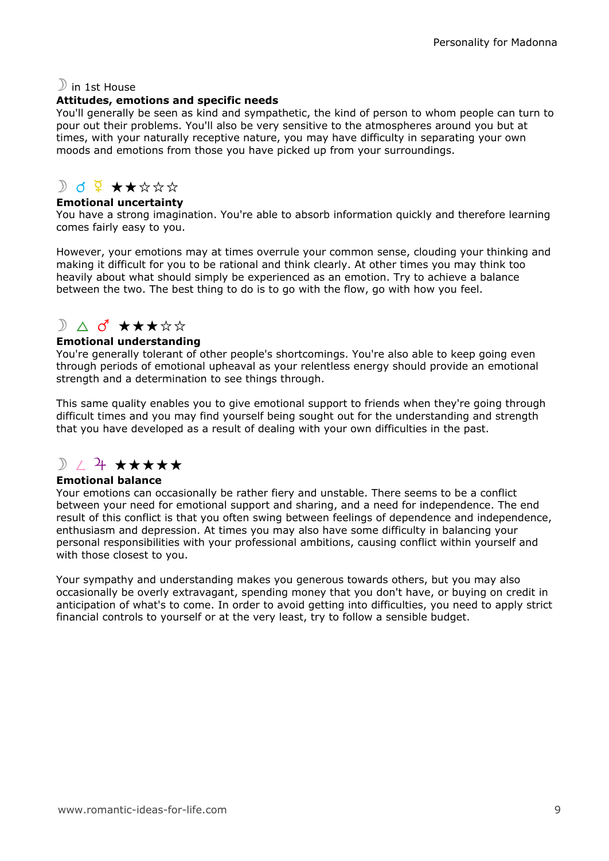### $\mathbb{D}$  in 1st House

### Attitudes, emotions and specific needs

You'll generally be seen as kind and sympathetic, the kind of person to whom people can turn to pour out their problems. You'll also be very sensitive to the atmospheres around you but at times, with your naturally receptive nature, you may have difficulty in separating your own moods and emotions from those you have picked up from your surroundings.

# $D$  d  $9 + x x x x$

### Emotional uncertainty

You have a strong imagination. You're able to absorb information quickly and therefore learning comes fairly easy to you.

However, your emotions may at times overrule your common sense, clouding your thinking and making it difficult for you to be rational and think clearly. At other times you may think too heavily about what should simply be experienced as an emotion. Try to achieve a balance between the two. The best thing to do is to go with the flow, go with how you feel.

# $\sum$   $\Delta$  o  $\star$   $\star$   $\star$   $\star$   $\star$   $\star$

### Emotional understanding

You're generally tolerant of other people's shortcomings. You're also able to keep going even through periods of emotional upheaval as your relentless energy should provide an emotional strength and a determination to see things through.

This same quality enables you to give emotional support to friends when they're going through difficult times and you may find yourself being sought out for the understanding and strength that you have developed as a result of dealing with your own difficulties in the past.

# $\mathbb{R}$  /  $\mathbb{R}$  \*\*\*\*\*

### Emotional balance

Your emotions can occasionally be rather fiery and unstable. There seems to be a conflict between your need for emotional support and sharing, and a need for independence. The end result of this conflict is that you often swing between feelings of dependence and independence, enthusiasm and depression. At times you may also have some difficulty in balancing your personal responsibilities with your professional ambitions, causing conflict within yourself and with those closest to you.

Your sympathy and understanding makes you generous towards others, but you may also occasionally be overly extravagant, spending money that you don't have, or buying on credit in anticipation of what's to come. In order to avoid getting into difficulties, you need to apply strict financial controls to yourself or at the very least, try to follow a sensible budget.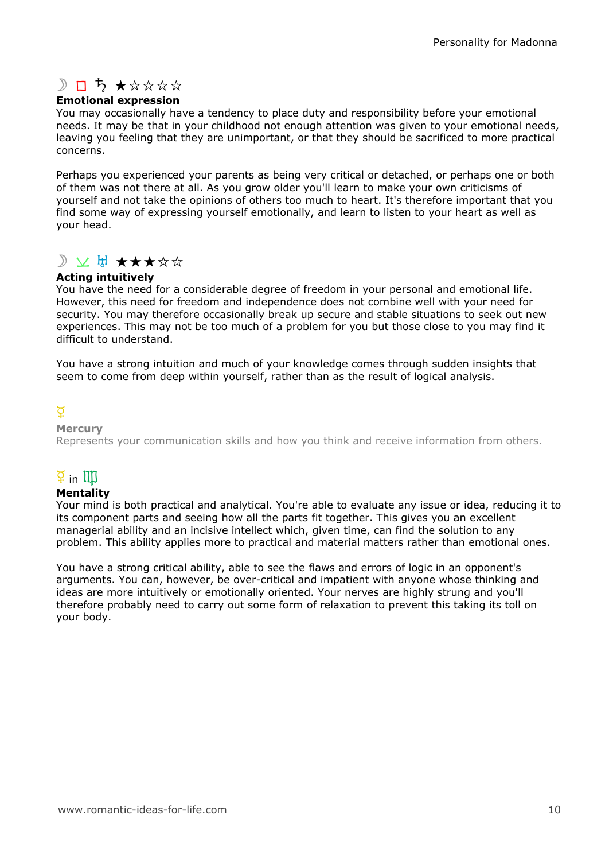# $D$   $D$   $5$   $\star$   $\star$   $\star$   $\star$   $\star$

### Emotional expression

You may occasionally have a tendency to place duty and responsibility before your emotional needs. It may be that in your childhood not enough attention was given to your emotional needs, leaving you feeling that they are unimportant, or that they should be sacrificed to more practical concerns.

Perhaps you experienced your parents as being very critical or detached, or perhaps one or both of them was not there at all. As you grow older you'll learn to make your own criticisms of yourself and not take the opinions of others too much to heart. It's therefore important that you find some way of expressing yourself emotionally, and learn to listen to your heart as well as your head.

# D V H \*\*\*\*\*

### Acting intuitively

You have the need for a considerable degree of freedom in your personal and emotional life. However, this need for freedom and independence does not combine well with your need for security. You may therefore occasionally break up secure and stable situations to seek out new experiences. This may not be too much of a problem for you but those close to you may find it difficult to understand.

You have a strong intuition and much of your knowledge comes through sudden insights that seem to come from deep within yourself, rather than as the result of logical analysis.

# $\overline{Q}$

### **Mercury**

Represents your communication skills and how you think and receive information from others.

# $\overline{2}$  in  $\overline{111}$

### Mentality

Your mind is both practical and analytical. You're able to evaluate any issue or idea, reducing it to its component parts and seeing how all the parts fit together. This gives you an excellent managerial ability and an incisive intellect which, given time, can find the solution to any problem. This ability applies more to practical and material matters rather than emotional ones.

You have a strong critical ability, able to see the flaws and errors of logic in an opponent's arguments. You can, however, be over-critical and impatient with anyone whose thinking and ideas are more intuitively or emotionally oriented. Your nerves are highly strung and you'll therefore probably need to carry out some form of relaxation to prevent this taking its toll on your body.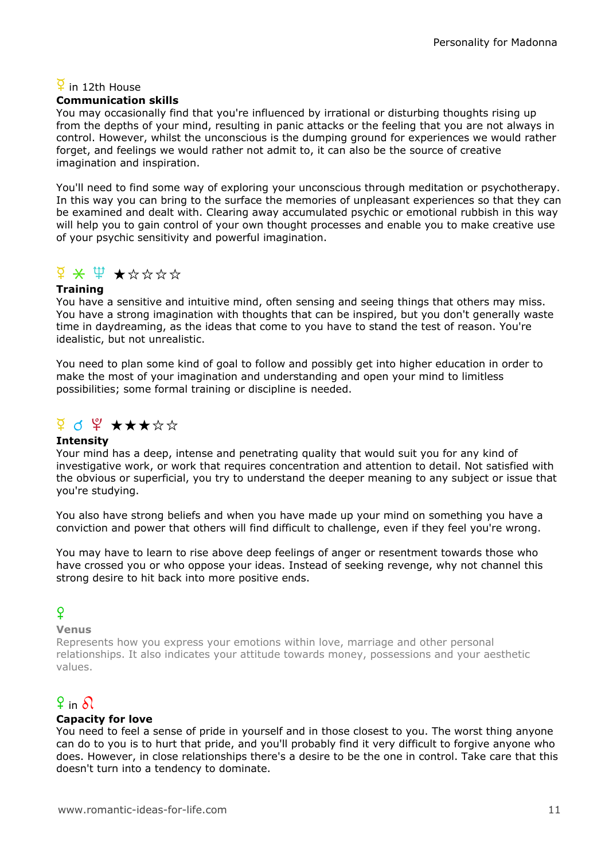## $\overline{2}$  in 12th House

### Communication skills

You may occasionally find that you're influenced by irrational or disturbing thoughts rising up from the depths of your mind, resulting in panic attacks or the feeling that you are not always in control. However, whilst the unconscious is the dumping ground for experiences we would rather forget, and feelings we would rather not admit to, it can also be the source of creative imagination and inspiration.

You'll need to find some way of exploring your unconscious through meditation or psychotherapy. In this way you can bring to the surface the memories of unpleasant experiences so that they can be examined and dealt with. Clearing away accumulated psychic or emotional rubbish in this way will help you to gain control of your own thought processes and enable you to make creative use of your psychic sensitivity and powerful imagination.

# $\frac{1}{2}$   $\times$   $\frac{1}{2}$   $\times$   $\frac{1}{2}$   $\times$   $\frac{1}{2}$   $\times$   $\frac{1}{2}$   $\times$   $\frac{1}{2}$   $\times$   $\frac{1}{2}$   $\times$   $\frac{1}{2}$   $\times$   $\frac{1}{2}$   $\times$   $\frac{1}{2}$   $\times$   $\frac{1}{2}$   $\times$   $\frac{1}{2}$   $\times$   $\frac{1}{2}$   $\times$   $\frac{1}{2}$   $\times$   $\frac{1}{2}$

### **Training**

You have a sensitive and intuitive mind, often sensing and seeing things that others may miss. You have a strong imagination with thoughts that can be inspired, but you don't generally waste time in daydreaming, as the ideas that come to you have to stand the test of reason. You're idealistic, but not unrealistic.

You need to plan some kind of goal to follow and possibly get into higher education in order to make the most of your imagination and understanding and open your mind to limitless possibilities; some formal training or discipline is needed.

# $9$  d  $9$   $\star\star\star\star\star$

### **Intensity**

Your mind has a deep, intense and penetrating quality that would suit you for any kind of investigative work, or work that requires concentration and attention to detail. Not satisfied with the obvious or superficial, you try to understand the deeper meaning to any subject or issue that you're studying.

You also have strong beliefs and when you have made up your mind on something you have a conviction and power that others will find difficult to challenge, even if they feel you're wrong.

You may have to learn to rise above deep feelings of anger or resentment towards those who have crossed you or who oppose your ideas. Instead of seeking revenge, why not channel this strong desire to hit back into more positive ends.

# $\mathsf{Q}$

### Venus

Represents how you express your emotions within love, marriage and other personal relationships. It also indicates your attitude towards money, possessions and your aesthetic values.

# $9$  in  $9$

### Capacity for love

You need to feel a sense of pride in yourself and in those closest to you. The worst thing anyone can do to you is to hurt that pride, and you'll probably find it very difficult to forgive anyone who does. However, in close relationships there's a desire to be the one in control. Take care that this doesn't turn into a tendency to dominate.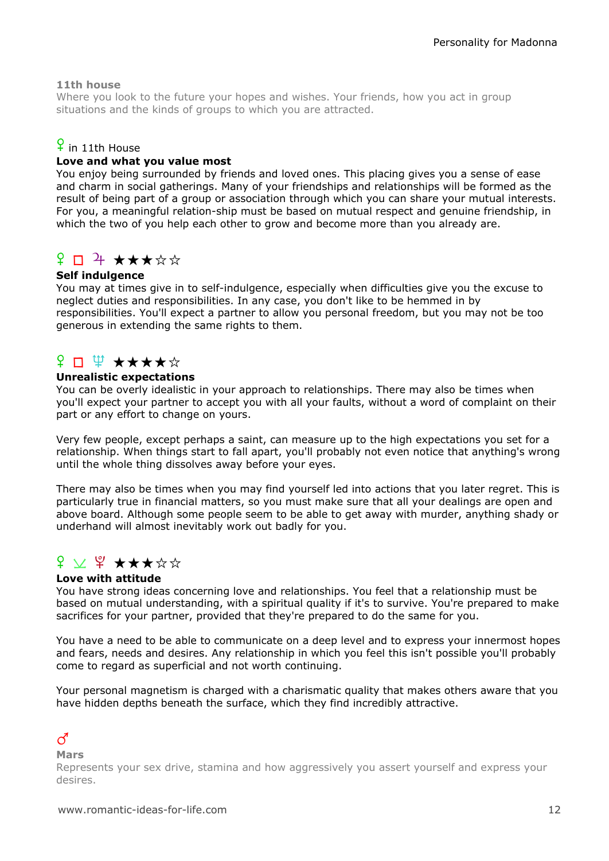### 11th house

Where you look to the future your hopes and wishes. Your friends, how you act in group situations and the kinds of groups to which you are attracted.

## $\frac{6}{5}$  in 11th House

### Love and what you value most

You enjoy being surrounded by friends and loved ones. This placing gives you a sense of ease and charm in social gatherings. Many of your friendships and relationships will be formed as the result of being part of a group or association through which you can share your mutual interests. For you, a meaningful relation-ship must be based on mutual respect and genuine friendship, in which the two of you help each other to grow and become more than you already are.

## $\Omega \Box$  + \*\*\*\*\*

### Self indulgence

You may at times give in to self-indulgence, especially when difficulties give you the excuse to neglect duties and responsibilities. In any case, you don't like to be hemmed in by responsibilities. You'll expect a partner to allow you personal freedom, but you may not be too generous in extending the same rights to them.

# ¥ □ ₩ ★★★★☆

#### Unrealistic expectations

You can be overly idealistic in your approach to relationships. There may also be times when you'll expect your partner to accept you with all your faults, without a word of complaint on their part or any effort to change on yours.

Very few people, except perhaps a saint, can measure up to the high expectations you set for a relationship. When things start to fall apart, you'll probably not even notice that anything's wrong until the whole thing dissolves away before your eyes.

There may also be times when you may find yourself led into actions that you later regret. This is particularly true in financial matters, so you must make sure that all your dealings are open and above board. Although some people seem to be able to get away with murder, anything shady or underhand will almost inevitably work out badly for you.

# $f$   $\vee$   $f$   $\star$   $\star$   $\star$   $\star$   $\star$

#### Love with attitude

You have strong ideas concerning love and relationships. You feel that a relationship must be based on mutual understanding, with a spiritual quality if it's to survive. You're prepared to make sacrifices for your partner, provided that they're prepared to do the same for you.

You have a need to be able to communicate on a deep level and to express your innermost hopes and fears, needs and desires. Any relationship in which you feel this isn't possible you'll probably come to regard as superficial and not worth continuing.

Your personal magnetism is charged with a charismatic quality that makes others aware that you have hidden depths beneath the surface, which they find incredibly attractive.

## $\vec{C}$

Mars

Represents your sex drive, stamina and how aggressively you assert yourself and express your desires.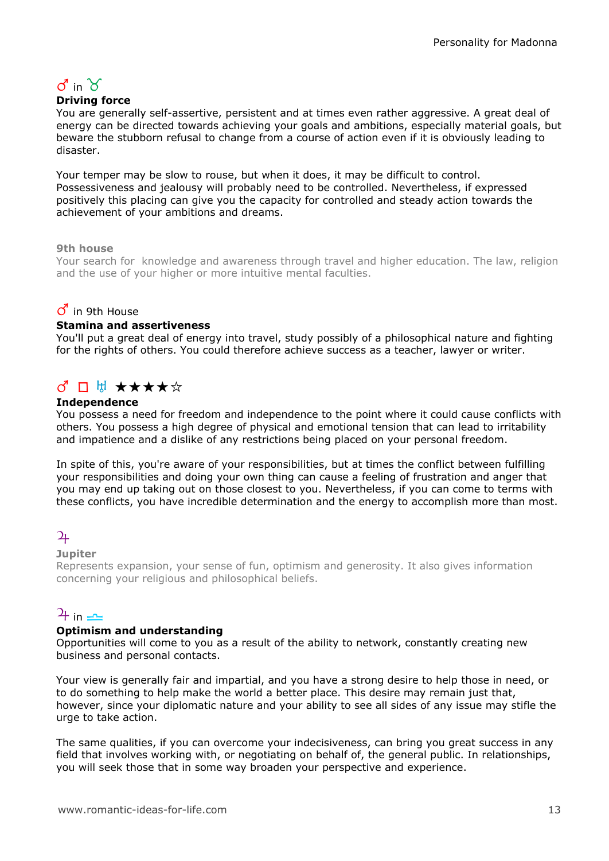# $\sigma$  in  $\gamma$

### Driving force

You are generally self-assertive, persistent and at times even rather aggressive. A great deal of energy can be directed towards achieving your goals and ambitions, especially material goals, but beware the stubborn refusal to change from a course of action even if it is obviously leading to disaster.

Your temper may be slow to rouse, but when it does, it may be difficult to control. Possessiveness and jealousy will probably need to be controlled. Nevertheless, if expressed positively this placing can give you the capacity for controlled and steady action towards the achievement of your ambitions and dreams.

### 9th house

Your search for knowledge and awareness through travel and higher education. The law, religion and the use of your higher or more intuitive mental faculties.

### $\sigma$  in 9th House

#### Stamina and assertiveness

You'll put a great deal of energy into travel, study possibly of a philosophical nature and fighting for the rights of others. You could therefore achieve success as a teacher, lawyer or writer.

# ♂□ H ★★★★☆

### Independence

You possess a need for freedom and independence to the point where it could cause conflicts with others. You possess a high degree of physical and emotional tension that can lead to irritability and impatience and a dislike of any restrictions being placed on your personal freedom.

In spite of this, you're aware of your responsibilities, but at times the conflict between fulfilling your responsibilities and doing your own thing can cause a feeling of frustration and anger that you may end up taking out on those closest to you. Nevertheless, if you can come to terms with these conflicts, you have incredible determination and the energy to accomplish more than most.

## $\overline{2}$

#### **Jupiter**

Represents expansion, your sense of fun, optimism and generosity. It also gives information concerning your religious and philosophical beliefs.

## $\frac{1}{\pm}$  in  $\frac{1}{\pm}$

#### Optimism and understanding

Opportunities will come to you as a result of the ability to network, constantly creating new business and personal contacts.

Your view is generally fair and impartial, and you have a strong desire to help those in need, or to do something to help make the world a better place. This desire may remain just that, however, since your diplomatic nature and your ability to see all sides of any issue may stifle the urge to take action.

The same qualities, if you can overcome your indecisiveness, can bring you great success in any field that involves working with, or negotiating on behalf of, the general public. In relationships, you will seek those that in some way broaden your perspective and experience.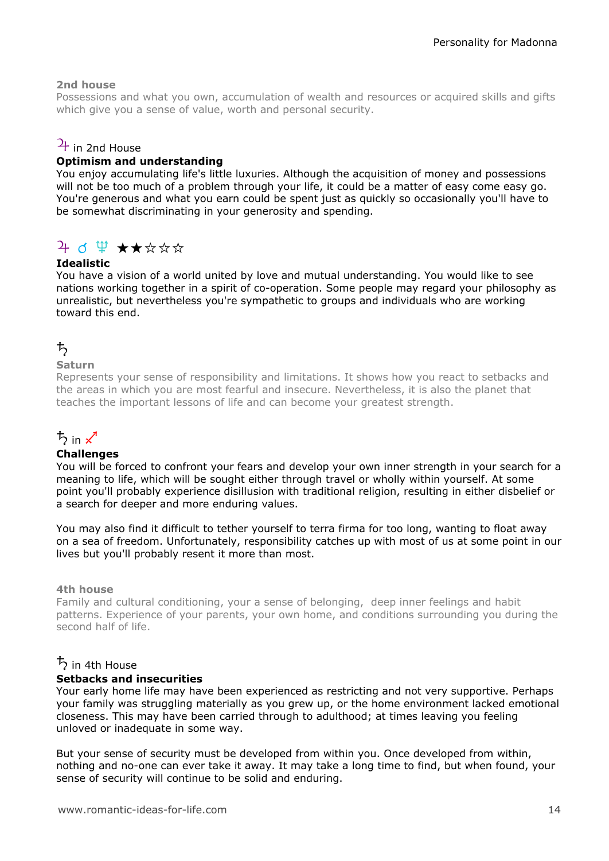### 2nd house

Possessions and what you own, accumulation of wealth and resources or acquired skills and gifts which give you a sense of value, worth and personal security.

### $\frac{1}{4}$  in 2nd House

### Optimism and understanding

You enjoy accumulating life's little luxuries. Although the acquisition of money and possessions will not be too much of a problem through your life, it could be a matter of easy come easy go. You're generous and what you earn could be spent just as quickly so occasionally you'll have to be somewhat discriminating in your generosity and spending.

# $4$  d  $4$   $\star\star\star\star\star$

### Idealistic

You have a vision of a world united by love and mutual understanding. You would like to see nations working together in a spirit of co-operation. Some people may regard your philosophy as unrealistic, but nevertheless you're sympathetic to groups and individuals who are working toward this end.

# $\uparrow$

### Saturn

Represents your sense of responsibility and limitations. It shows how you react to setbacks and the areas in which you are most fearful and insecure. Nevertheless, it is also the planet that teaches the important lessons of life and can become your greatest strength.

# $\frac{1}{2}$  in  $\chi^4$

#### **Challenges**

You will be forced to confront your fears and develop your own inner strength in your search for a meaning to life, which will be sought either through travel or wholly within yourself. At some point you'll probably experience disillusion with traditional religion, resulting in either disbelief or a search for deeper and more enduring values.

You may also find it difficult to tether yourself to terra firma for too long, wanting to float away on a sea of freedom. Unfortunately, responsibility catches up with most of us at some point in our lives but you'll probably resent it more than most.

#### 4th house

Family and cultural conditioning, your a sense of belonging, deep inner feelings and habit patterns. Experience of your parents, your own home, and conditions surrounding you during the second half of life.

### $\frac{1}{2}$  in 4th House

#### Setbacks and insecurities

Your early home life may have been experienced as restricting and not very supportive. Perhaps your family was struggling materially as you grew up, or the home environment lacked emotional closeness. This may have been carried through to adulthood; at times leaving you feeling unloved or inadequate in some way.

But your sense of security must be developed from within you. Once developed from within, nothing and no-one can ever take it away. It may take a long time to find, but when found, your sense of security will continue to be solid and enduring.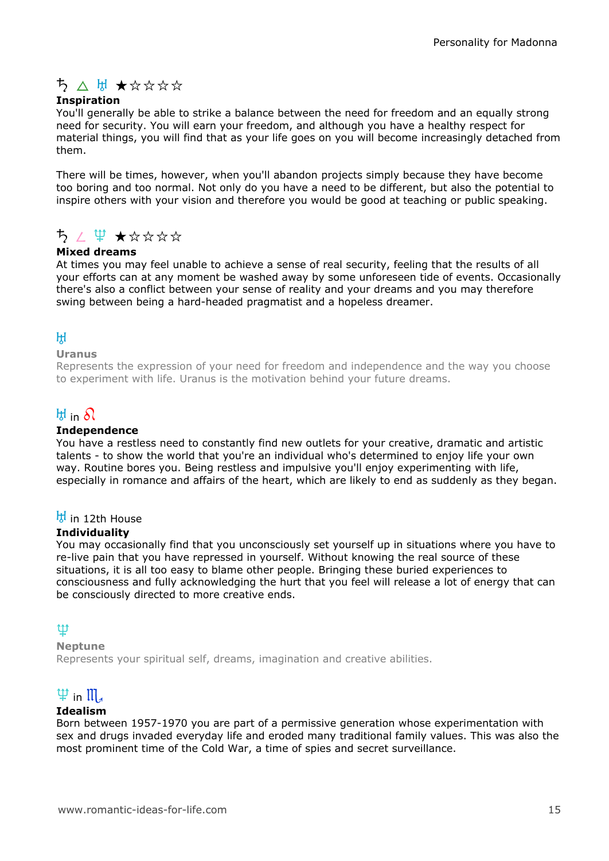# ち ∧ は ★☆☆☆☆

### Inspiration

You'll generally be able to strike a balance between the need for freedom and an equally strong need for security. You will earn your freedom, and although you have a healthy respect for material things, you will find that as your life goes on you will become increasingly detached from them.

There will be times, however, when you'll abandon projects simply because they have become too boring and too normal. Not only do you have a need to be different, but also the potential to inspire others with your vision and therefore you would be good at teaching or public speaking.

# $52 \not\equiv 72.7$

### Mixed dreams

At times you may feel unable to achieve a sense of real security, feeling that the results of all your efforts can at any moment be washed away by some unforeseen tide of events. Occasionally there's also a conflict between your sense of reality and your dreams and you may therefore swing between being a hard-headed pragmatist and a hopeless dreamer.

### $H$

#### Uranus

Represents the expression of your need for freedom and independence and the way you choose to experiment with life. Uranus is the motivation behind your future dreams.

# $H$  in  $\Omega$

### Independence

You have a restless need to constantly find new outlets for your creative, dramatic and artistic talents - to show the world that you're an individual who's determined to enjoy life your own way. Routine bores you. Being restless and impulsive you'll enjoy experimenting with life, especially in romance and affairs of the heart, which are likely to end as suddenly as they began.

### $\frac{H}{V}$  in 12th House

#### **Individuality**

You may occasionally find that you unconsciously set yourself up in situations where you have to re-live pain that you have repressed in yourself. Without knowing the real source of these situations, it is all too easy to blame other people. Bringing these buried experiences to consciousness and fully acknowledging the hurt that you feel will release a lot of energy that can be consciously directed to more creative ends.

### l

### Neptune

Represents your spiritual self, dreams, imagination and creative abilities.

# $\Psi$  in  $\mathfrak{m}_4$

### Idealism

Born between 1957-1970 you are part of a permissive generation whose experimentation with sex and drugs invaded everyday life and eroded many traditional family values. This was also the most prominent time of the Cold War, a time of spies and secret surveillance.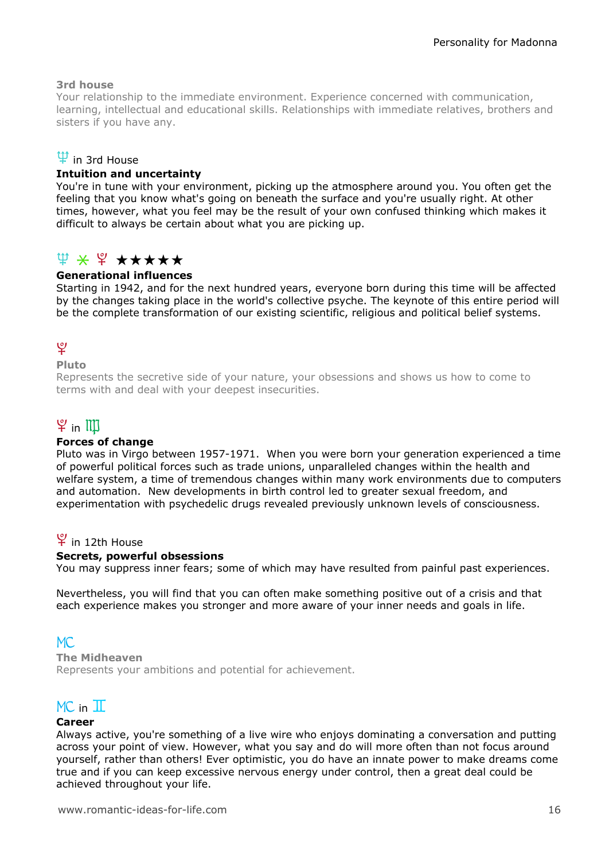### 3rd house

Your relationship to the immediate environment. Experience concerned with communication, learning, intellectual and educational skills. Relationships with immediate relatives, brothers and sisters if you have any.

### $\Psi$  in 3rd House

### Intuition and uncertainty

You're in tune with your environment, picking up the atmosphere around you. You often get the feeling that you know what's going on beneath the surface and you're usually right. At other times, however, what you feel may be the result of your own confused thinking which makes it difficult to always be certain about what you are picking up.

### $\Psi \times \Psi \star \star \star \star \star$

### Generational influences

Starting in 1942, and for the next hundred years, everyone born during this time will be affected by the changes taking place in the world's collective psyche. The keynote of this entire period will be the complete transformation of our existing scientific, religious and political belief systems.

# ত্

### Pluto

Represents the secretive side of your nature, your obsessions and shows us how to come to terms with and deal with your deepest insecurities.

# $\mathfrak{P}$  in  $\mathbb{I} \mathbb{I}$

#### Forces of change

Pluto was in Virgo between 1957-1971. When you were born your generation experienced a time of powerful political forces such as trade unions, unparalleled changes within the health and welfare system, a time of tremendous changes within many work environments due to computers and automation. New developments in birth control led to greater sexual freedom, and experimentation with psychedelic drugs revealed previously unknown levels of consciousness.

### $\Psi$  in 12th House

#### Secrets, powerful obsessions

You may suppress inner fears; some of which may have resulted from painful past experiences.

Nevertheless, you will find that you can often make something positive out of a crisis and that each experience makes you stronger and more aware of your inner needs and goals in life.

### $MC.$

The Midheaven Represents your ambitions and potential for achievement.

# $MC$  in  $T$

### Career

Always active, you're something of a live wire who enjoys dominating a conversation and putting across your point of view. However, what you say and do will more often than not focus around yourself, rather than others! Ever optimistic, you do have an innate power to make dreams come true and if you can keep excessive nervous energy under control, then a great deal could be achieved throughout your life.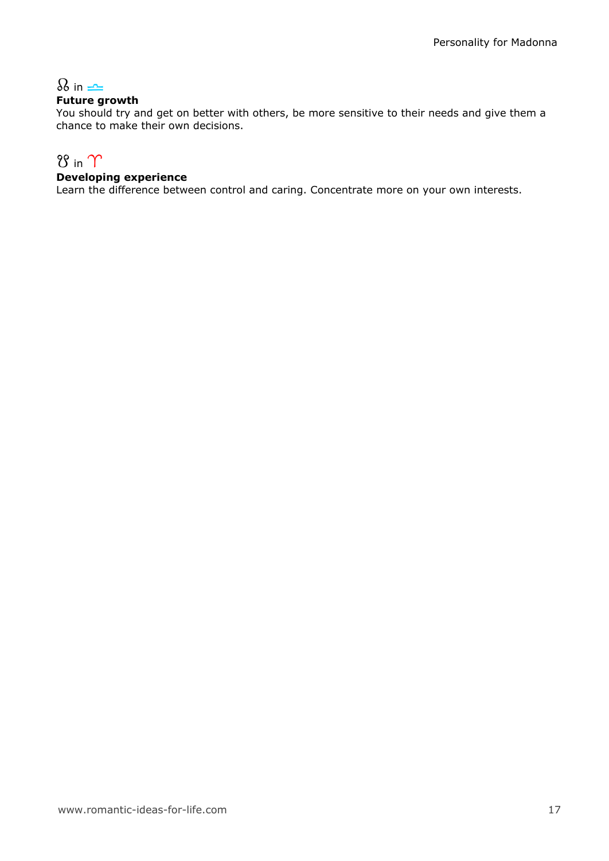# $\Omega$  in  $\rightleftharpoons$

### Future growth

You should try and get on better with others, be more sensitive to their needs and give them a chance to make their own decisions.

# $8$  in  $\gamma$

### Developing experience

Learn the difference between control and caring. Concentrate more on your own interests.